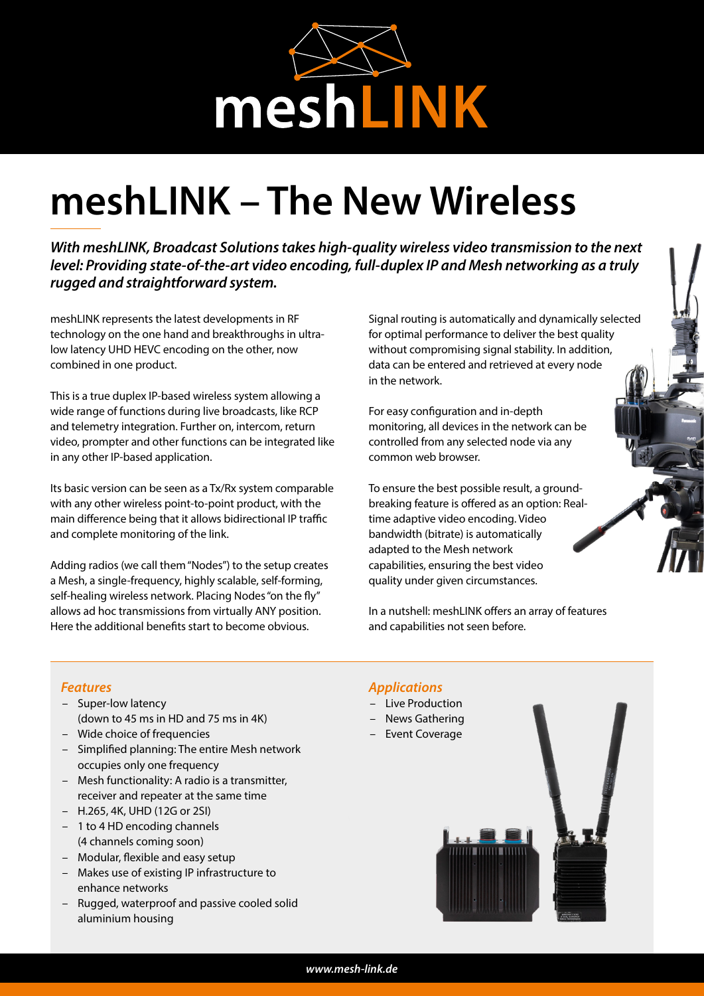

# **meshLINK – The New Wireless**

*With meshLINK, Broadcast Solutions takes high-quality wireless video transmission to the next level: Providing state-of-the-art video encoding, full-duplex IP and Mesh networking as a truly rugged and straightforward system.*

meshLINK represents the latest developments in RF technology on the one hand and breakthroughs in ultralow latency UHD HEVC encoding on the other, now combined in one product.

This is a true duplex IP-based wireless system allowing a wide range of functions during live broadcasts, like RCP and telemetry integration. Further on, intercom, return video, prompter and other functions can be integrated like in any other IP-based application.

Its basic version can be seen as a Tx/Rx system comparable with any other wireless point-to-point product, with the main difference being that it allows bidirectional IP traffic and complete monitoring of the link.

Adding radios (we call them "Nodes") to the setup creates a Mesh, a single-frequency, highly scalable, self-forming, self-healing wireless network. Placing Nodes "on the fly" allows ad hoc transmissions from virtually ANY position. Here the additional benefits start to become obvious.

Signal routing is automatically and dynamically selected for optimal performance to deliver the best quality without compromising signal stability. In addition, data can be entered and retrieved at every node in the network.

For easy configuration and in-depth monitoring, all devices in the network can be controlled from any selected node via any common web browser.

To ensure the best possible result, a groundbreaking feature is offered as an option: Realtime adaptive video encoding. Video bandwidth (bitrate) is automatically adapted to the Mesh network capabilities, ensuring the best video quality under given circumstances.

In a nutshell: meshLINK offers an array of features and capabilities not seen before.

## *Features*

- Super-low latency (down to 45 ms in HD and 75 ms in 4K)
- Wide choice of frequencies
- Simplified planning: The entire Mesh network occupies only one frequency
- Mesh functionality: A radio is a transmitter, receiver and repeater at the same time
- H.265, 4K, UHD (12G or 2SI)
- 1 to 4 HD encoding channels (4 channels coming soon)
- Modular, flexible and easy setup
- Makes use of existing IP infrastructure to enhance networks
- Rugged, waterproof and passive cooled solid aluminium housing

## *Applications*

- Live Production
- News Gathering
- Event Coverage